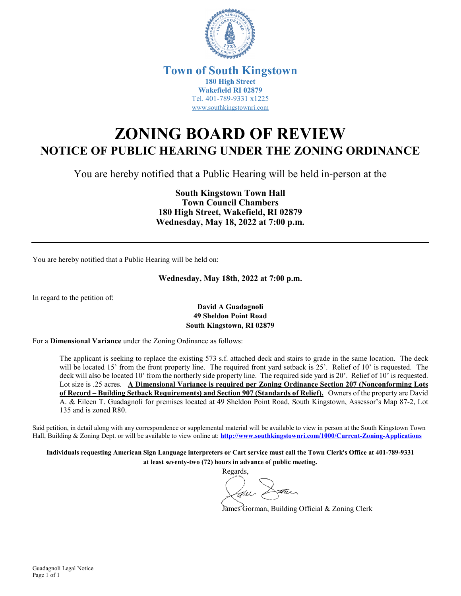

## **Town of South Kingstown 180 High Street Wakefield RI 02879** Tel. 401-789-9331 x1225 [www.southkingstownri.com](http://www.southkingstownri.com/)

## **ZONING BOARD OF REVIEW NOTICE OF PUBLIC HEARING UNDER THE ZONING ORDINANCE**

You are hereby notified that a Public Hearing will be held in-person at the

**South Kingstown Town Hall Town Council Chambers 180 High Street, Wakefield, RI 02879 Wednesday, May 18, 2022 at 7:00 p.m.** 

You are hereby notified that a Public Hearing will be held on:

**Wednesday, May 18th, 2022 at 7:00 p.m.** 

In regard to the petition of:

## **David A Guadagnoli 49 Sheldon Point Road South Kingstown, RI 02879**

For a **Dimensional Variance** under the Zoning Ordinance as follows:

The applicant is seeking to replace the existing 573 s.f. attached deck and stairs to grade in the same location. The deck will be located 15' from the front property line. The required front yard setback is 25'. Relief of 10' is requested. The deck will also be located 10' from the northerly side property line. The required side yard is 20'. Relief of 10' is requested. Lot size is .25 acres. **A Dimensional Variance is required per Zoning Ordinance Section 207 (Nonconforming Lots of Record – Building Setback Requirements) and Section 907 (Standards of Relief).** Owners of the property are David A. & Eileen T. Guadagnoli for premises located at 49 Sheldon Point Road, South Kingstown, Assessor's Map 87-2, Lot 135 and is zoned R80.

Said petition, in detail along with any correspondence or supplemental material will be available to view in person at the South Kingstown Town Hall, Building & Zoning Dept. or will be available to view online at: **<http://www.southkingstownri.com/1000/Current-Zoning-Applications>**

**Individuals requesting American Sign Language interpreters or Cart service must call the Town Clerk's Office at 401-789-9331 at least seventy-two (72) hours in advance of public meeting.** 

Regards,

James Gorman, Building Official & Zoning Clerk